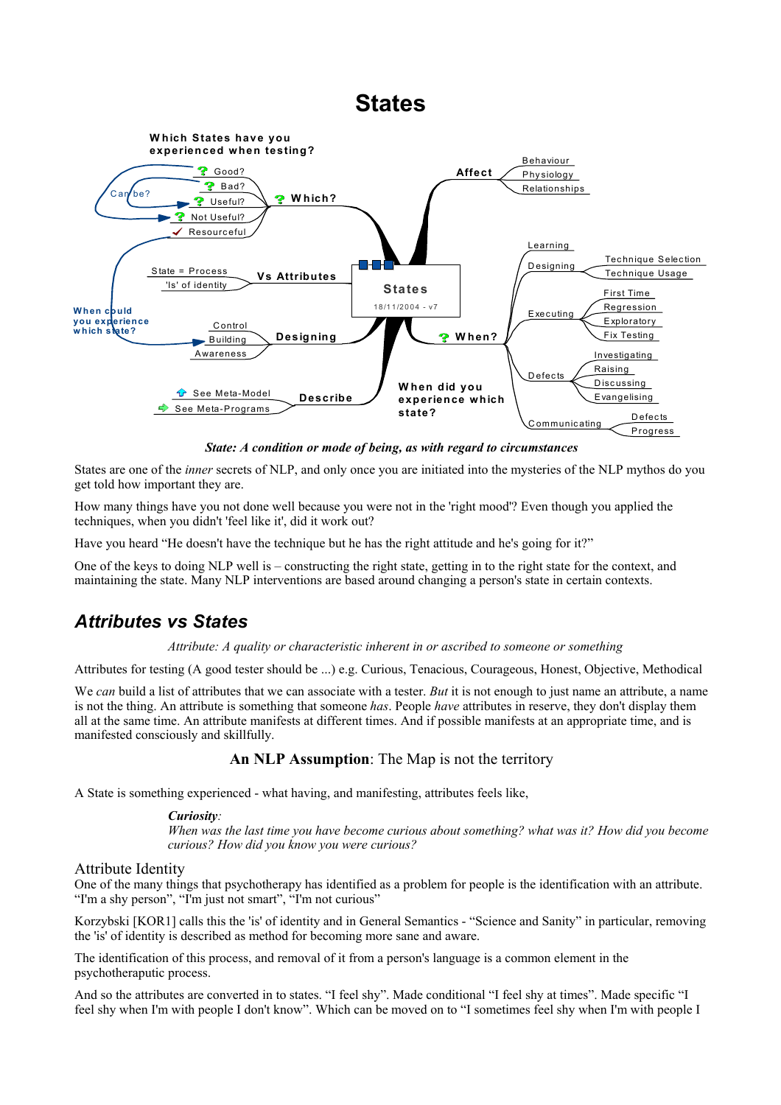# **States**



*State: A condition or mode of being, as with regard to circumstances* 

States are one of the *inner* secrets of NLP, and only once you are initiated into the mysteries of the NLP mythos do you get told how important they are.

How many things have you not done well because you were not in the 'right mood'? Even though you applied the techniques, when you didn't 'feel like it', did it work out?

Have you heard "He doesn't have the technique but he has the right attitude and he's going for it?"

One of the keys to doing NLP well is – constructing the right state, getting in to the right state for the context, and maintaining the state. Many NLP interventions are based around changing a person's state in certain contexts.

### *Attributes vs States*

*Attribute: A quality or characteristic inherent in or ascribed to someone or something* 

Attributes for testing (A good tester should be ...) e.g. Curious, Tenacious, Courageous, Honest, Objective, Methodical

We *can* build a list of attributes that we can associate with a tester. *But* it is not enough to just name an attribute, a name is not the thing. An attribute is something that someone *has*. People *have* attributes in reserve, they don't display them all at the same time. An attribute manifests at different times. And if possible manifests at an appropriate time, and is manifested consciously and skillfully.

#### **An NLP Assumption**: The Map is not the territory

A State is something experienced - what having, and manifesting, attributes feels like,

#### *Curiosity:*

*When was the last time you have become curious about something? what was it? How did you become curious? How did you know you were curious?* 

#### Attribute Identity

One of the many things that psychotherapy has identified as a problem for people is the identification with an attribute. "I'm a shy person", "I'm just not smart", "I'm not curious"

Korzybski [KOR1] calls this the 'is' of identity and in General Semantics - "Science and Sanity" in particular, removing the 'is' of identity is described as method for becoming more sane and aware.

The identification of this process, and removal of it from a person's language is a common element in the psychotheraputic process.

And so the attributes are converted in to states. "I feel shy". Made conditional "I feel shy at times". Made specific "I feel shy when I'm with people I don't know". Which can be moved on to "I sometimes feel shy when I'm with people I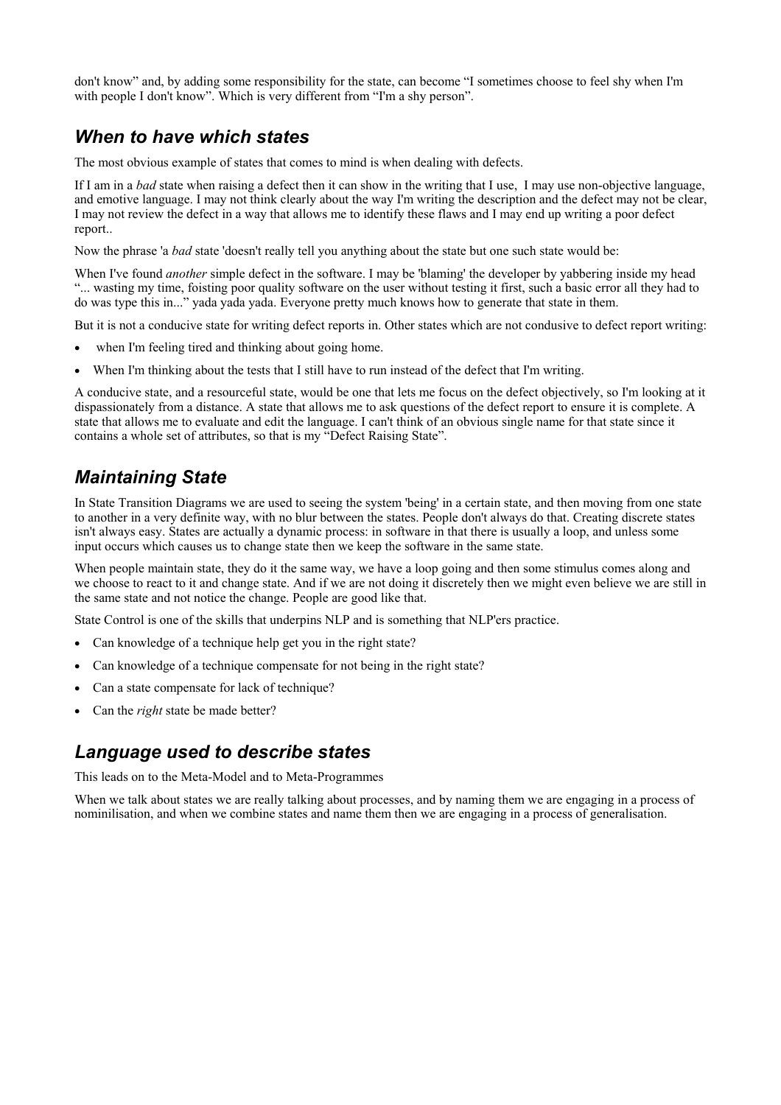don't know" and, by adding some responsibility for the state, can become "I sometimes choose to feel shy when I'm with people I don't know". Which is very different from "I'm a shy person".

### *When to have which states*

The most obvious example of states that comes to mind is when dealing with defects.

If I am in a *bad* state when raising a defect then it can show in the writing that I use, I may use non-objective language, and emotive language. I may not think clearly about the way I'm writing the description and the defect may not be clear, I may not review the defect in a way that allows me to identify these flaws and I may end up writing a poor defect report..

Now the phrase 'a *bad* state 'doesn't really tell you anything about the state but one such state would be:

When I've found *another* simple defect in the software. I may be 'blaming' the developer by vabbering inside my head "... wasting my time, foisting poor quality software on the user without testing it first, such a basic error all they had to do was type this in..." yada yada yada. Everyone pretty much knows how to generate that state in them.

But it is not a conducive state for writing defect reports in. Other states which are not condusive to defect report writing:

- when I'm feeling tired and thinking about going home.
- When I'm thinking about the tests that I still have to run instead of the defect that I'm writing.

A conducive state, and a resourceful state, would be one that lets me focus on the defect objectively, so I'm looking at it dispassionately from a distance. A state that allows me to ask questions of the defect report to ensure it is complete. A state that allows me to evaluate and edit the language. I can't think of an obvious single name for that state since it contains a whole set of attributes, so that is my "Defect Raising State".

## *Maintaining State*

In State Transition Diagrams we are used to seeing the system 'being' in a certain state, and then moving from one state to another in a very definite way, with no blur between the states. People don't always do that. Creating discrete states isn't always easy. States are actually a dynamic process: in software in that there is usually a loop, and unless some input occurs which causes us to change state then we keep the software in the same state.

When people maintain state, they do it the same way, we have a loop going and then some stimulus comes along and we choose to react to it and change state. And if we are not doing it discretely then we might even believe we are still in the same state and not notice the change. People are good like that.

State Control is one of the skills that underpins NLP and is something that NLP'ers practice.

- Can knowledge of a technique help get you in the right state?
- Can knowledge of a technique compensate for not being in the right state?
- Can a state compensate for lack of technique?
- Can the *right* state be made better?

### *Language used to describe states*

This leads on to the Meta-Model and to Meta-Programmes

When we talk about states we are really talking about processes, and by naming them we are engaging in a process of nominilisation, and when we combine states and name them then we are engaging in a process of generalisation.